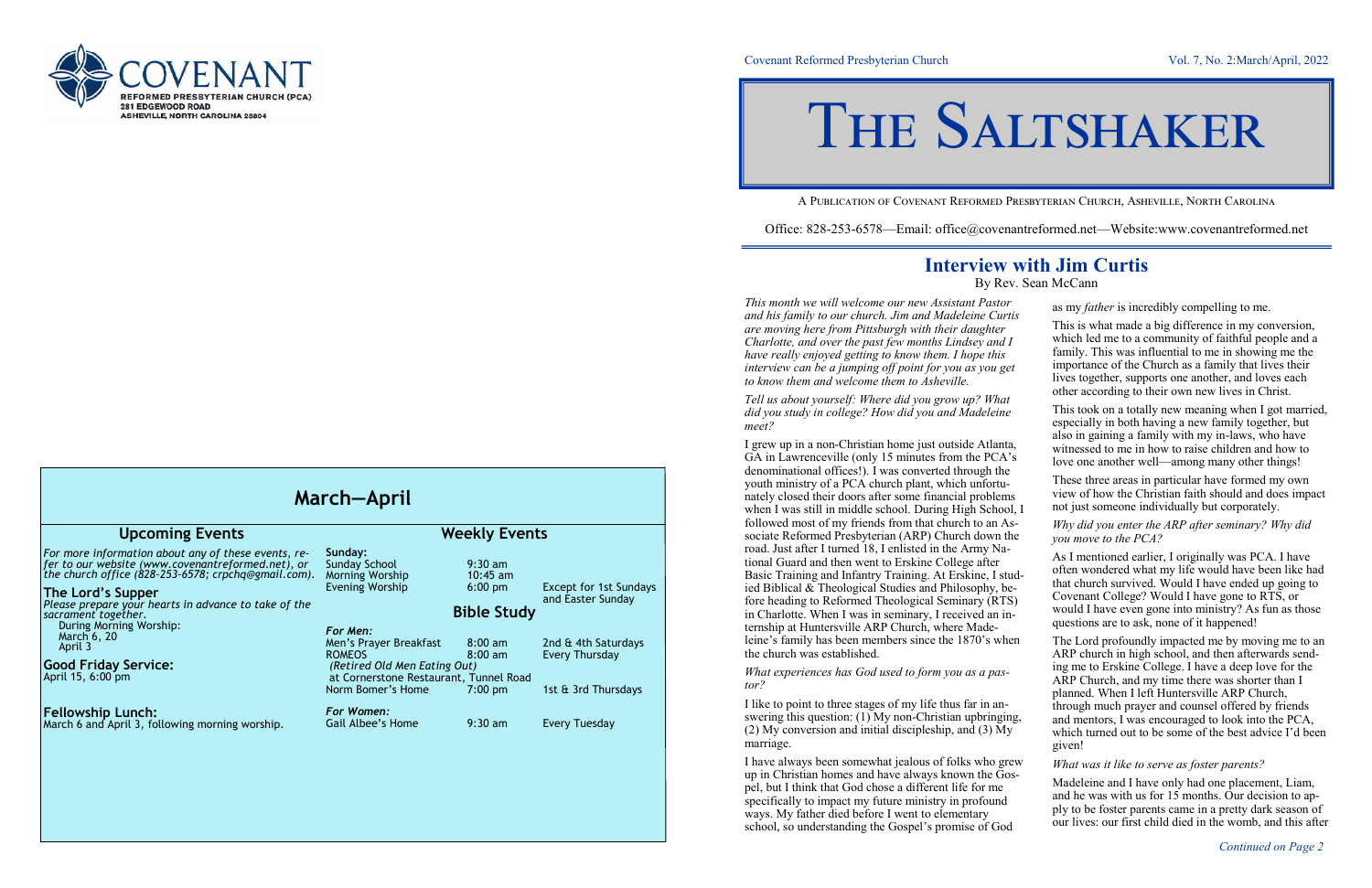

#### Covenant Reformed Presbyterian Church Vol. 7, No. 2:March/April, 2022

A Publication of Covenant Reformed Presbyterian Church, Asheville, North Carolina

Office: 828-253-6578—Email: office@covenantreformed.net—Website:www.covenantreformed.net

## **Interview with Jim Curtis**

By Rev. Sean McCann

*This month we will welcome our new Assistant Pastor and his family to our church. Jim and Madeleine Curtis and his family to our church. Jim and Madeleine Curtis are moving here from Pittsburgh with their daughter Charlotte, and over the past few months Lindsey and have really enjoyed getting to know them. I hope this interview can be a jumping off point for you as you get to know them and welcome them to Asheville.*

*Tell us about yourself: Where did you grow up? What did you study in college? How did you and Madeleine meet?*

I grew up in a non-Christian home just outside Atlant GA in Lawrenceville (only 15 minutes from the PCA denominational offices!). I was converted through the youth ministry of a PCA church plant, which unfortunately closed their doors after some financial problem when I was still in middle school. During High School followed most of my friends from that church to an A sociate Reformed Presbyterian (ARP) Church down the road. Just after I turned 18, I enlisted in the Army National Guard and then went to Erskine College after Basic Training and Infantry Training. At Erskine, I st ied Biblical & Theological Studies and Philosophy, before heading to Reformed Theological Seminary (RT) in Charlotte. When I was in seminary, I received an internship at Huntersville ARP Church, where Madeleine's family has been members since the 1870's wh the church was established.

I have always been somewhat jealous of folks who gr up in Christian homes and have always known the Gospel, but I think that God chose a different life for me specifically to impact my future ministry in profound ways. My father died before I went to elementary school, so understanding the Gospel's promise of God

*What experiences has God used to form you as a pastor?*

I like to point to three stages of my life thus far in answering this question:  $(1)$  My non-Christian upbringing (2) My conversion and initial discipleship, and  $(3)$  My marriage.

| r                                    | as my <i>father</i> is incredibly compelling to me.                                                                                                                                                                                                                                                                                                                                                                                                        |
|--------------------------------------|------------------------------------------------------------------------------------------------------------------------------------------------------------------------------------------------------------------------------------------------------------------------------------------------------------------------------------------------------------------------------------------------------------------------------------------------------------|
| tis<br>Ι<br>et                       | This is what made a big difference in my conversion,<br>which led me to a community of faithful people and a<br>family. This was influential to me in showing me the<br>importance of the Church as a family that lives their<br>lives together, supports one another, and loves each<br>other according to their own new lives in Christ.                                                                                                                 |
| t<br>e<br>a,<br>$\cdot$ <sub>s</sub> | This took on a totally new meaning when I got married,<br>especially in both having a new family together, but<br>also in gaining a family with my in-laws, who have<br>witnessed to me in how to raise children and how to<br>love one another well—among many other things!                                                                                                                                                                              |
| e<br><b>1S</b><br>эl, I              | These three areas in particular have formed my own<br>view of how the Christian faith should and does impact<br>not just someone individually but corporately.                                                                                                                                                                                                                                                                                             |
| $\mathsf{S}$ -<br>he                 | Why did you enter the ARP after seminary? Why did<br>you move to the PCA?                                                                                                                                                                                                                                                                                                                                                                                  |
| -<br>ud-<br>e-<br>S)<br>n-           | As I mentioned earlier, I originally was PCA. I have<br>often wondered what my life would have been like had<br>that church survived. Would I have ended up going to<br>Covenant College? Would I have gone to RTS, or<br>would I have even gone into ministry? As fun as those<br>questions are to ask, none of it happened!                                                                                                                              |
| ıen<br>ng,<br>y                      | The Lord profoundly impacted me by moving me to an<br>ARP church in high school, and then afterwards send-<br>ing me to Erskine College. I have a deep love for the<br>ARP Church, and my time there was shorter than I<br>planned. When I left Huntersville ARP Church,<br>through much prayer and counsel offered by friends<br>and mentors, I was encouraged to look into the PCA,<br>which turned out to be some of the best advice I'd been<br>given! |
| ew:                                  | What was it like to serve as foster parents?                                                                                                                                                                                                                                                                                                                                                                                                               |
| эs-<br>ŕ,<br><sup>1</sup>            | Madeleine and I have only had one placement, Liam,<br>and he was with us for 15 months. Our decision to ap-<br>ply to be foster parents came in a pretty dark season of<br>our lives: our first child died in the womb, and this after                                                                                                                                                                                                                     |

| <b>Upcoming Events</b>                                                                                                                                                                                                                                                                                                                                                       | <b>Weekly Events</b>                                                                                                                                                                                                               |                                                                                                                   |                                                                                                                    |
|------------------------------------------------------------------------------------------------------------------------------------------------------------------------------------------------------------------------------------------------------------------------------------------------------------------------------------------------------------------------------|------------------------------------------------------------------------------------------------------------------------------------------------------------------------------------------------------------------------------------|-------------------------------------------------------------------------------------------------------------------|--------------------------------------------------------------------------------------------------------------------|
| For more information about any of these events, re-<br>fer to our website (www.covenantreformed.net), or<br>the church office (828-253-6578; crpchq@gmail.com).<br>The Lord's Supper<br>Please prepare your hearts in advance to take of the<br>sacrament together.<br>During Morning Worship:<br>March 6, 20<br>April 3<br><b>Good Friday Service:</b><br>April 15, 6:00 pm | Sunday:<br><b>Sunday School</b><br>Morning Worship<br><b>Evening Worship</b><br>For Men:<br>Men's Prayer Breakfast<br><b>ROMEOS</b><br>(Retired Old Men Eating Out)<br>at Cornerstone Restaurant, Tunnel Road<br>Norm Bomer's Home | $9:30$ am<br>$10:45$ am<br>$6:00$ pm<br><b>Bible Study</b><br>$8:00$ am<br>$8:00 \text{ am}$<br>$7:00 \text{ pm}$ | <b>Except for 1st Sundays</b><br>and Easter Sunday<br>2nd & 4th Saturdays<br>Every Thursday<br>1st & 3rd Thursdays |
| <b>Fellowship Lunch:</b><br>March 6 and April 3, following morning worship.                                                                                                                                                                                                                                                                                                  | For Women:<br>Gail Albee's Home                                                                                                                                                                                                    | $9:30$ am                                                                                                         | <b>Every Tuesday</b>                                                                                               |

# THE SALTSHAKER